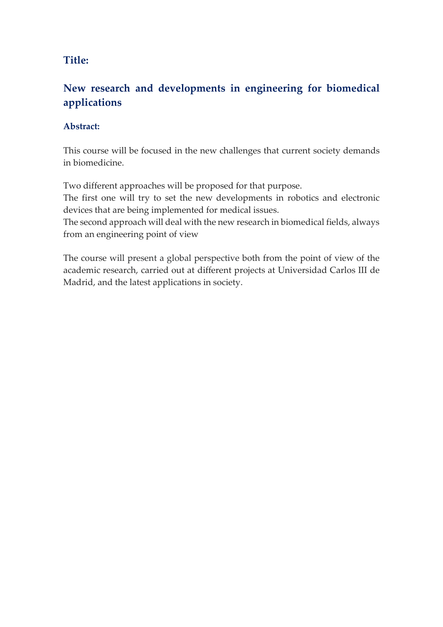## Title:

## New research and developments in engineering for biomedical applications

### Abstract:

This course will be focused in the new challenges that current society demands in biomedicine.

Two different approaches will be proposed for that purpose.

The first one will try to set the new developments in robotics and electronic devices that are being implemented for medical issues.

The second approach will deal with the new research in biomedical fields, always from an engineering point of view

The course will present a global perspective both from the point of view of the academic research, carried out at different projects at Universidad Carlos III de Madrid, and the latest applications in society.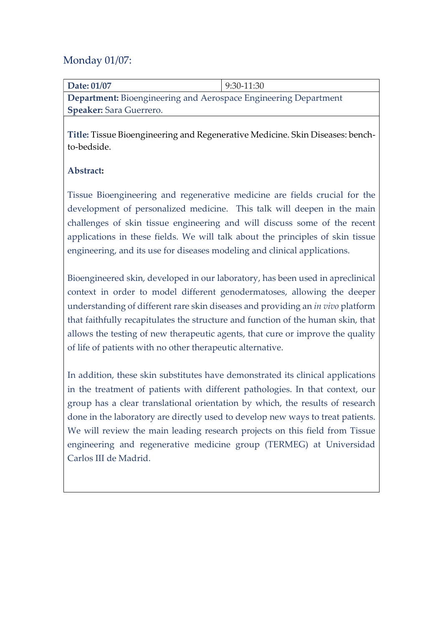## Monday 01/07:

| Date: 01/07                                                            | $9:30-11:30$ |
|------------------------------------------------------------------------|--------------|
| <b>Department:</b> Bioengineering and Aerospace Engineering Department |              |
| <b>Speaker:</b> Sara Guerrero.                                         |              |

Title: Tissue Bioengineering and Regenerative Medicine. Skin Diseases: benchto-bedside.

### Abstract:

Tissue Bioengineering and regenerative medicine are fields crucial for the development of personalized medicine. This talk will deepen in the main challenges of skin tissue engineering and will discuss some of the recent applications in these fields. We will talk about the principles of skin tissue engineering, and its use for diseases modeling and clinical applications.

Bioengineered skin, developed in our laboratory, has been used in apreclinical context in order to model different genodermatoses, allowing the deeper understanding of different rare skin diseases and providing an in vivo platform that faithfully recapitulates the structure and function of the human skin, that allows the testing of new therapeutic agents, that cure or improve the quality of life of patients with no other therapeutic alternative.

In addition, these skin substitutes have demonstrated its clinical applications in the treatment of patients with different pathologies. In that context, our group has a clear translational orientation by which, the results of research done in the laboratory are directly used to develop new ways to treat patients. We will review the main leading research projects on this field from Tissue engineering and regenerative medicine group (TERMEG) at Universidad Carlos III de Madrid.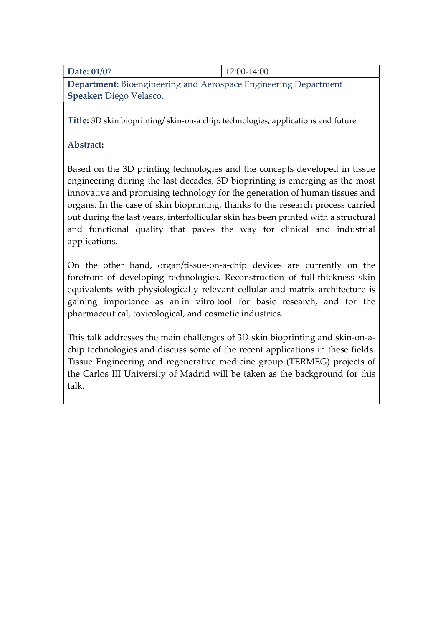|--|

Department: Bioengineering and Aerospace Engineering Department Speaker: Diego Velasco.

Title: 3D skin bioprinting/ skin-on-a chip: technologies, applications and future

### Abstract:

Based on the 3D printing technologies and the concepts developed in tissue engineering during the last decades, 3D bioprinting is emerging as the most innovative and promising technology for the generation of human tissues and organs. In the case of skin bioprinting, thanks to the research process carried out during the last years, interfollicular skin has been printed with a structural and functional quality that paves the way for clinical and industrial applications.

On the other hand, organ/tissue-on-a-chip devices are currently on the forefront of developing technologies. Reconstruction of full-thickness skin equivalents with physiologically relevant cellular and matrix architecture is gaining importance as an in vitro tool for basic research, and for the pharmaceutical, toxicological, and cosmetic industries.

This talk addresses the main challenges of 3D skin bioprinting and skin-on-achip technologies and discuss some of the recent applications in these fields. Tissue Engineering and regenerative medicine group (TERMEG) projects of the Carlos III University of Madrid will be taken as the background for this talk.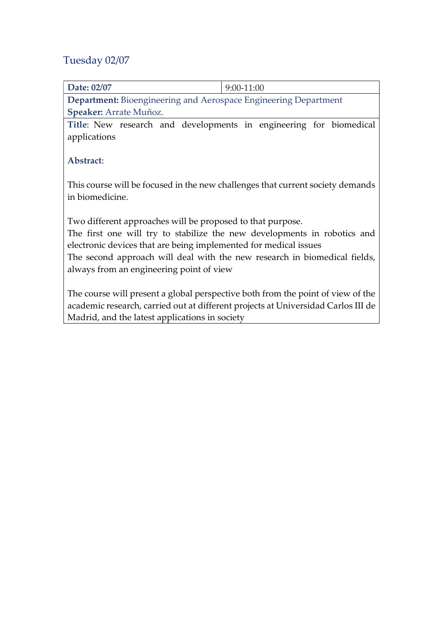# Tuesday 02/07

| 9:00-11:00                                                                                                                                    |  |  |
|-----------------------------------------------------------------------------------------------------------------------------------------------|--|--|
| <b>Department:</b> Bioengineering and Aerospace Engineering Department                                                                        |  |  |
| Speaker: Arrate Muñoz.                                                                                                                        |  |  |
| Title: New research and developments in engineering for biomedical                                                                            |  |  |
|                                                                                                                                               |  |  |
|                                                                                                                                               |  |  |
|                                                                                                                                               |  |  |
|                                                                                                                                               |  |  |
| This course will be focused in the new challenges that current society demands<br>in biomedicine.                                             |  |  |
|                                                                                                                                               |  |  |
| Two different approaches will be proposed to that purpose.                                                                                    |  |  |
| The first one will try to stabilize the new developments in robotics and                                                                      |  |  |
|                                                                                                                                               |  |  |
| electronic devices that are being implemented for medical issues<br>The second approach will deal with the new research in biomedical fields, |  |  |
| always from an engineering point of view                                                                                                      |  |  |
|                                                                                                                                               |  |  |
| The course will present a global perspective both from the point of view of the                                                               |  |  |
| academic research, carried out at different projects at Universidad Carlos III de                                                             |  |  |
| Madrid, and the latest applications in society                                                                                                |  |  |
|                                                                                                                                               |  |  |
|                                                                                                                                               |  |  |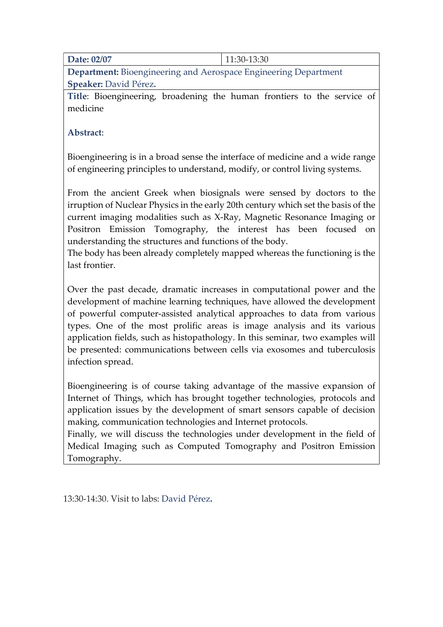Date: 02/07 11:30-13:30

Department: Bioengineering and Aerospace Engineering Department Speaker: David Pérez.

Title: Bioengineering, broadening the human frontiers to the service of medicine

Abstract:

Bioengineering is in a broad sense the interface of medicine and a wide range of engineering principles to understand, modify, or control living systems.

From the ancient Greek when biosignals were sensed by doctors to the irruption of Nuclear Physics in the early 20th century which set the basis of the current imaging modalities such as X-Ray, Magnetic Resonance Imaging or Positron Emission Tomography, the interest has been focused on understanding the structures and functions of the body.

The body has been already completely mapped whereas the functioning is the last frontier.

Over the past decade, dramatic increases in computational power and the development of machine learning techniques, have allowed the development of powerful computer-assisted analytical approaches to data from various types. One of the most prolific areas is image analysis and its various application fields, such as histopathology. In this seminar, two examples will be presented: communications between cells via exosomes and tuberculosis infection spread.

Bioengineering is of course taking advantage of the massive expansion of Internet of Things, which has brought together technologies, protocols and application issues by the development of smart sensors capable of decision making, communication technologies and Internet protocols.

Finally, we will discuss the technologies under development in the field of Medical Imaging such as Computed Tomography and Positron Emission Tomography.

13:30-14:30. Visit to labs: David Pérez.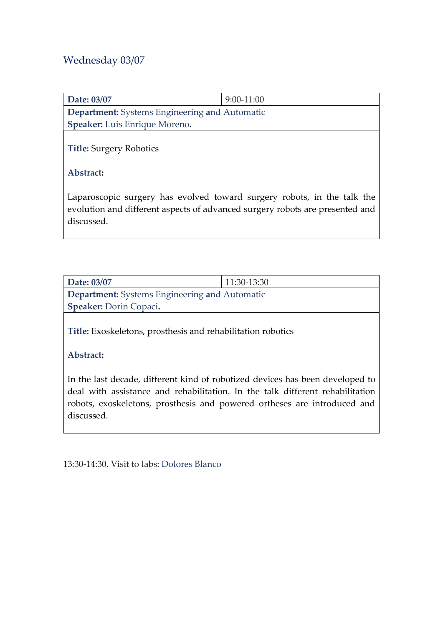## Wednesday 03/07

| Date: 03/07                                   | $9:00-11:00$                                                            |  |
|-----------------------------------------------|-------------------------------------------------------------------------|--|
| Department: Systems Engineering and Automatic |                                                                         |  |
| Speaker: Luis Enrique Moreno.                 |                                                                         |  |
| <b>Title: Surgery Robotics</b>                |                                                                         |  |
| Abstract:                                     |                                                                         |  |
|                                               | Laparoscopic surgery has evolved toward surgery robots, in the talk the |  |

evolution and different aspects of advanced surgery robots are presented and discussed.

| Date: 03/07                                          | $11:30-13:30$ |  |
|------------------------------------------------------|---------------|--|
| <b>Department:</b> Systems Engineering and Automatic |               |  |
| <b>Speaker: Dorin Copaci.</b>                        |               |  |

Title: Exoskeletons, prosthesis and rehabilitation robotics

### Abstract:

In the last decade, different kind of robotized devices has been developed to deal with assistance and rehabilitation. In the talk different rehabilitation robots, exoskeletons, prosthesis and powered ortheses are introduced and discussed.

13:30-14:30. Visit to labs: Dolores Blanco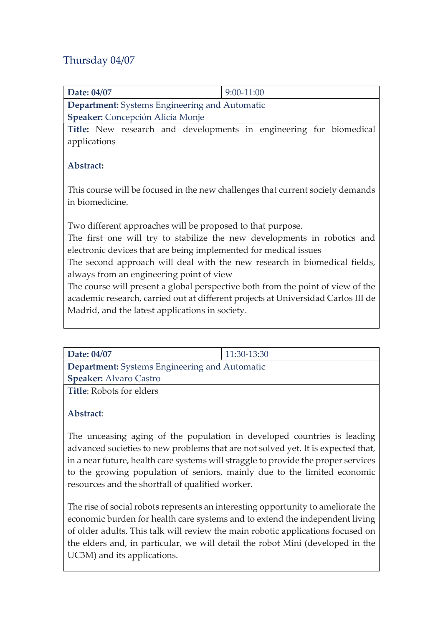## Thursday 04/07

| Date: 04/07                                                                       | 9:00-11:00                                                         |  |
|-----------------------------------------------------------------------------------|--------------------------------------------------------------------|--|
| <b>Department:</b> Systems Engineering and Automatic                              |                                                                    |  |
| <b>Speaker:</b> Concepción Alicia Monje                                           |                                                                    |  |
|                                                                                   | Title: New research and developments in engineering for biomedical |  |
| applications                                                                      |                                                                    |  |
|                                                                                   |                                                                    |  |
| Abstract:                                                                         |                                                                    |  |
|                                                                                   |                                                                    |  |
| This course will be focused in the new challenges that current society demands    |                                                                    |  |
| in biomedicine.                                                                   |                                                                    |  |
|                                                                                   |                                                                    |  |
| Two different approaches will be proposed to that purpose.                        |                                                                    |  |
| The first one will try to stabilize the new developments in robotics and          |                                                                    |  |
| electronic devices that are being implemented for medical issues                  |                                                                    |  |
| The second approach will deal with the new research in biomedical fields,         |                                                                    |  |
| always from an engineering point of view                                          |                                                                    |  |
| The course will present a global perspective both from the point of view of the   |                                                                    |  |
| academic research, carried out at different projects at Universidad Carlos III de |                                                                    |  |
| Madrid, and the latest applications in society.                                   |                                                                    |  |
|                                                                                   |                                                                    |  |

| Date: 04/07                                          | 11:30-13:30 |  |
|------------------------------------------------------|-------------|--|
| <b>Department:</b> Systems Engineering and Automatic |             |  |
| <b>Speaker:</b> Alvaro Castro                        |             |  |
| <b>Title</b> : Robots for elders                     |             |  |

### Abstract:

The unceasing aging of the population in developed countries is leading advanced societies to new problems that are not solved yet. It is expected that, in a near future, health care systems will straggle to provide the proper services to the growing population of seniors, mainly due to the limited economic resources and the shortfall of qualified worker.

The rise of social robots represents an interesting opportunity to ameliorate the economic burden for health care systems and to extend the independent living of older adults. This talk will review the main robotic applications focused on the elders and, in particular, we will detail the robot Mini (developed in the UC3M) and its applications.